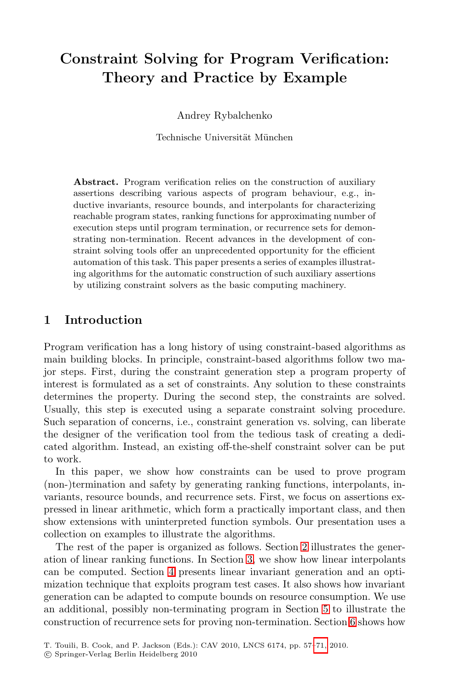# **Constraint Solving for Program Verification: Theory and Practice by Example**

Andrey Rybalchenko

Technische Universität München

**Abstract.** Program verification relies on the construction of auxiliary assertions describing various aspects of program behaviour, e.g., inductive invariants, resource bounds, and interpolants for characterizing reachable program states, ranking functions for approximating number of execution steps until program termination, or recurrence sets for demonstrating non-termination. Recent advances in the development of constraint solving tools offer an unprecedented opportunity for the efficient automation of this task. This paper presents a series of examples illustrating algorithms for the automatic construction of such auxiliary assertions by utilizing constraint solvers as the basic computing machinery.

## **1 Introduction**

Program verification has a long history of using constraint-based algorithms as main building blocks. In principle, constraint-based algorithms follow two major steps. First, during the constraint generation step a program property of interest is formulated as a set of constraints. Any solution to these constraints determines the property. During the second step, the constraints are solved. Usually, this step is executed using a separate constraint solving procedure. Such separation of concerns, i.e., constraint generation vs. solving, can liberate the designer of the verification tool from the tedious task of creating a dedicated algorithm. Instead, an existing [o](#page-1-0)ff-the-shelf constraint solver can be put to work.

In th[is](#page-5-0) paper, we sh[ow](#page-4-0) how constraints can be used to prove program (non-)termination and safety by generating ranking functions, interpolants, invariants, resource bounds, and recurrence sets. First, we focus on assertions expressed in linear arithmetic, which form a [p](#page-9-0)ractically important class, and then show extensions with uninterpreted function sy[m](#page-11-0)bols. Our presentation uses a collection on examples to illustrate the algorithms.

The rest of the paper is organized as [foll](#page-14-0)ows. Section 2 illustrates the generation of linear ranking functions. In Section 3, we show how linear interpolants can be computed. Section 4 presents linear invariant generation and an optimization technique that exploits program test cases. It also shows how invariant generation can be adapted to compute bounds on resource consumption. We use an additional, possibly non-terminating program in Section 5 to illustrate the construction of recurrence sets for proving non-termination. Section 6 shows how

T. Touili, B. Cook, and P. Jackson (Eds.): CAV 2010, LNCS 6174, pp. 57–71, 2010.

<sup>-</sup>c Springer-Verlag Berlin Heidelberg 2010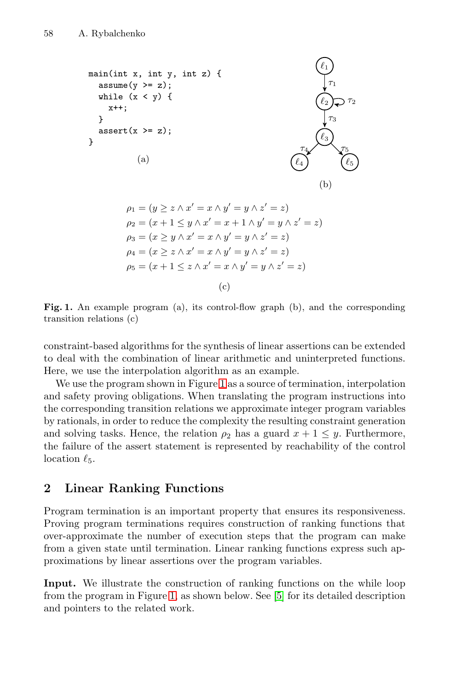

<span id="page-1-1"></span>Fig. 1. An example program (a), its control-flow graph (b), and the corresponding transition relations (c)

constraint-based algorithms for the synthesis of linear assertions can be extended to deal with the combination of linear arithmetic and uninterpreted functions. Here, we use the interpolation algorithm as an example.

<span id="page-1-0"></span>We use the program shown in Figure 1 as a source of termination, interpolation and safety proving obligations. When translating the program instructions into the corresponding transition relations we approximate integer program variables by rationals, in order to reduce the complexity the resulting constraint generation and solving tasks. Hence, the relation  $\rho_2$  has a guard  $x + 1 \leq y$ . Furthermore, the failure of the assert statement is represented by reachability of the control location  $\ell_5$ .

# **2 Linear Ranking Functions**

Program termination is an important property that ensures its responsiveness. Proving program terminations requires construction of ranking functions that over-approximate the number of execution steps that the program can make from a given state until termination. Linear ranking functions express such approximations by linear assertions over the program variables.

**Input.** We illustrate the construction of ranking functions on the while loop from the program in Figure 1, as shown below. See [5] for its detailed description and pointers to the related work.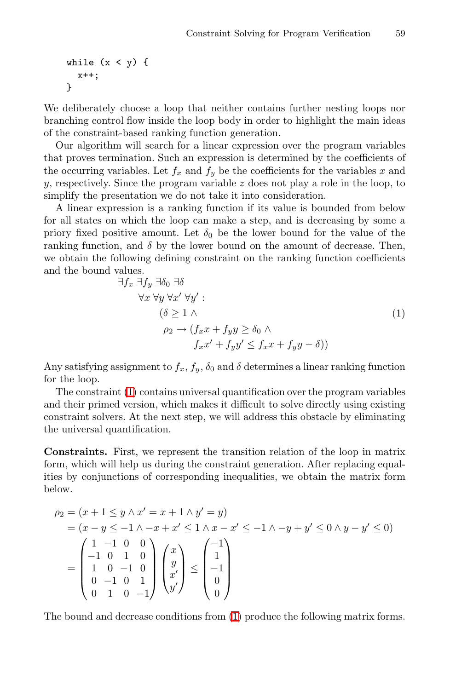$$
\begin{array}{l}\n\text{while } (x < y) \text{ { }\\ \n& x++; \\
\text{ } \} \end{array}
$$

We deliberately choose a loop that neither contains further nesting loops nor branching control flow inside the loop body in order to highlight the main ideas of the constraint-based ranking function generation.

<span id="page-2-0"></span>Our algorithm will search for a linear expression over the program variables that proves termination. Such an expression is determined by the coefficients of the occurring variables. Let  $f_x$  and  $f_y$  be the coefficients for the variables x and  $y$ , respectively. Since the program variable  $z$  does not play a role in the loop, to simplify the presentation we do not take it into consideration.

A linear expression is a ranking function if its value is bounded from below for all states on which the loop can make a step, and is decreasing by some a priory fixed positive amount. Let  $\delta_0$  be the lower bound for the value of the ranking function, and  $\delta$  by the lower bound on the amount of decrease. Then, we obtain the following defining constraint on the ranking function coefficients and the bound values.

$$
\exists f_x \; \exists f_y \; \exists \delta_0 \; \exists \delta
$$
  
\n
$$
\forall x \; \forall y \; \forall x' \; \forall y' : \quad (\delta \ge 1 \; \land \quad (1)
$$
  
\n
$$
\rho_2 \to (f_x x + f_y y \ge \delta_0 \; \land \quad (1)
$$
  
\n
$$
f_x x' + f_y y' \le f_x x + f_y y - \delta)
$$

Any satisfying assignment to  $f_x$ ,  $f_y$ ,  $\delta_0$  and  $\delta$  determines a linear ranking function for the loop.

The constraint (1) contains universal quantification over the program variables and their primed version, which makes it difficult to solve directly using existing constraint solvers. At the next step, we will address this obstacle by eliminating the universal quantification.

**Constraints.** First, we represent the transition relation of the loop in matrix form, which will help us during the constraint generation. After replacing equalities by conjunctions of corresponding inequalities, we obtain the matrix form below.

$$
\rho_2 = (x+1 \le y \land x' = x+1 \land y' = y)
$$
  
=  $(x-y \le -1 \land -x+x' \le 1 \land x-x' \le -1 \land -y+y' \le 0 \land y-y' \le 0)$   
=  $\begin{pmatrix} 1 & -1 & 0 & 0 \\ -1 & 0 & 1 & 0 \\ 1 & 0 & -1 & 0 \\ 0 & -1 & 0 & 1 \\ 0 & 1 & 0 & -1 \end{pmatrix} \begin{pmatrix} x \\ y \\ x' \\ y' \end{pmatrix} \le \begin{pmatrix} -1 \\ 1 \\ -1 \\ 0 \\ 0 \end{pmatrix}$ 

The bound and decrease conditions from (1) produce the following matrix forms.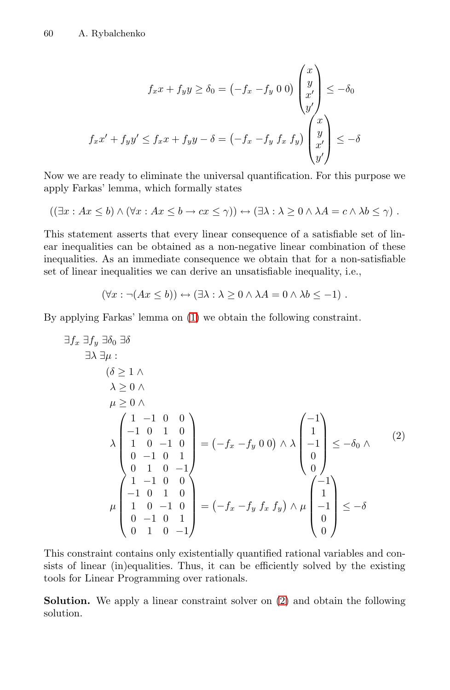$$
f_x x + f_y y \ge \delta_0 = \left(-f_x - f_y \ 0 \ 0\right) \begin{pmatrix} x \\ y \\ x' \\ y' \end{pmatrix} \le -\delta_0
$$

$$
f_x x' + f_y y' \le f_x x + f_y y - \delta = \left(-f_x - f_y \ f_x \ f_y\right) \begin{pmatrix} x \\ y \\ x' \\ x' \end{pmatrix} \le -\delta
$$

Now we are ready to eliminate the universal quantification. For this purpose we apply Farkas' lemma, which formally states

$$
((\exists x: Ax \le b) \land (\forall x: Ax \le b \to cx \le \gamma)) \leftrightarrow (\exists \lambda: \lambda \ge 0 \land \lambda A = c \land \lambda b \le \gamma).
$$

This statement asserts that every linear consequence of a satisfiable set of linear inequalities can be obtained as a non-negative linear combination of these inequalities. As an immediate consequence we obtain that for a non-satisfiable set of linear inequalities we can derive an unsatisfiable inequality, i.e.,

<span id="page-3-0"></span>
$$
(\forall x : \neg (Ax \le b)) \leftrightarrow (\exists \lambda : \lambda \ge 0 \land \lambda A = 0 \land \lambda b \le -1) .
$$

By applying Farkas' lemma on (1) we obtain the following constraint.

$$
\exists f_x \exists f_y \exists \delta_0 \exists \delta
$$
  
\n
$$
\exists \lambda \exists \mu : \delta_0 \exists \delta
$$
  
\n
$$
\lambda \ge 0 \land \mu \ge 0 \land \lambda
$$
  
\n
$$
\lambda \begin{pmatrix} 1 & -1 & 0 & 0 \\ -1 & 0 & 1 & 0 \\ 1 & 0 & -1 & 0 \\ 0 & -1 & 0 & 1 \\ 0 & 1 & 0 & -1 \end{pmatrix} = (-f_x - f_y) \cdot 0 \cdot \lambda \lambda \begin{pmatrix} -1 \\ 1 \\ -1 \\ 0 \\ 0 \end{pmatrix} \le -\delta_0 \land (2)
$$
  
\n
$$
\mu \begin{pmatrix} 1 & -1 & 0 & 0 \\ 1 & -1 & 0 & 0 \\ -1 & 0 & 1 & 0 \\ 0 & -1 & 0 & 1 \\ 0 & 1 & 0 & -1 \end{pmatrix} = (-f_x - f_y f_x f_y) \land \mu \begin{pmatrix} -1 \\ 1 \\ -1 \\ 0 \\ 0 \end{pmatrix} \le -\delta
$$

This constraint contains only existentially quantified rational variables and consists of linear (in)equalities. Thus, it can be efficiently solved by the existing tools for Linear Programming over rationals.

**Solution.** We apply a linear constraint solver on  $(2)$  and obtain the following solution.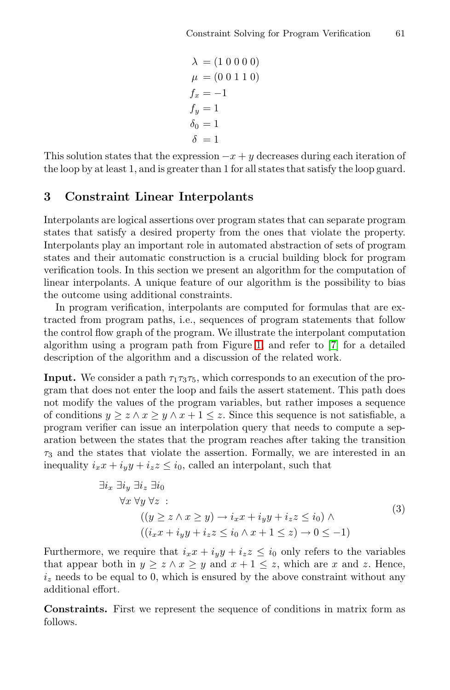$$
\lambda = (1 0 0 0 0) \n\mu = (0 0 1 1 0) \n f_x = -1 \n f_y = 1 \n \delta_0 = 1 \n\delta = 1
$$

<span id="page-4-0"></span>This solution states that the expression  $-x + y$  decreases during each iteration of the loop by at least 1, and is greater than 1 for all states that satisfy the loop guard.

### **3 Constraint Linear Interpolants**

Interpolants are logical assertions over program states that can separate program states that satisfy a desired property from the ones that violate the property. Interpolants play an impor[tan](#page-1-1)t role in auto[ma](#page-14-1)ted abstraction of sets of program states and their automatic construction is a crucial building block for program verification tools. In this section we present an algorithm for the computation of linear interpolants. A unique feature of our algorithm is the possibility to bias the outcome using additional constraints.

In program verification, interpolants are computed for formulas that are extracted from program paths, i.e., sequences of program statements that follow the control flow graph of the program. We illustrate the interpolant computation algorithm using a program path from Figure 1, and refer to [7] for a detailed description of the algorithm and a discussion of the related work.

**Input.** We consider a path  $\tau_1\tau_3\tau_5$ , which corresponds to an execution of the program that does not enter the loop and fails the assert statement. This path does not modify the values of the program variables, but rather imposes a sequence of conditions  $y \geq z \land x \geq y \land x + 1 \leq z$ . Since this sequence is not satisfiable, a program verifier can issue an interpolation query that needs to compute a separation between the states that the program reaches after taking the transition  $\tau_3$  and the states that violate the assertion. Formally, we are interested in an inequality  $i_x x + i_y y + i_z z \leq i_0$ , called an interpolant, such that

$$
\exists i_x \exists i_y \exists i_z \exists i_0
$$
  
\n
$$
\forall x \forall y \forall z :
$$
  
\n
$$
((y \ge z \land x \ge y) \to i_x x + i_y y + i_z z \le i_0) \land
$$
  
\n
$$
((i_x x + i_y y + i_z z \le i_0 \land x + 1 \le z) \to 0 \le -1)
$$
  
\n(3)

Furthermore, we require that  $i_x x + i_y y + i_z z \leq i_0$  only refers to the variables that appear both in  $y \ge z \land x \ge y$  and  $x + 1 \le z$ , which are x and z. Hence,  $i_z$  needs to be equal to 0, which is ensured by the above constraint without any additional effort.

**Constraints.** First we represent the sequence of conditions in matrix form as follows.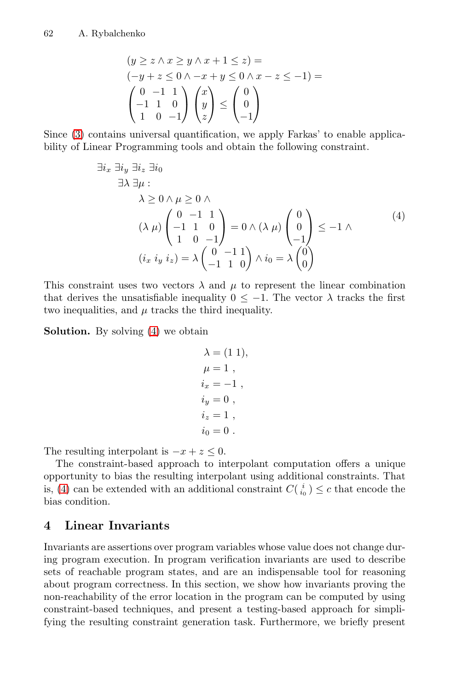$$
(y \ge z \land x \ge y \land x + 1 \le z) =
$$
  
\n
$$
(-y + z \le 0 \land -x + y \le 0 \land x - z \le -1) =
$$
  
\n
$$
\begin{pmatrix} 0 & -1 & 1 \\ -1 & 1 & 0 \\ 1 & 0 & -1 \end{pmatrix} \begin{pmatrix} x \\ y \\ z \end{pmatrix} \le \begin{pmatrix} 0 \\ 0 \\ -1 \end{pmatrix}
$$

Since (3) contains universal quantification, we apply Farkas' to enable applicability of Linear Programming tools and obtain the following constraint.

$$
\exists i_x \exists i_y \exists i_z \exists i_0
$$
  
\n
$$
\exists \lambda \exists \mu : \lambda \ge 0 \land \mu \ge 0 \land \lambda
$$
  
\n
$$
(\lambda \mu) \begin{pmatrix} 0 & -1 & 1 \\ -1 & 1 & 0 \\ 1 & 0 & -1 \end{pmatrix} = 0 \land (\lambda \mu) \begin{pmatrix} 0 \\ 0 \\ -1 \end{pmatrix} \le -1 \land \lambda
$$
  
\n
$$
(i_x i_y i_z) = \lambda \begin{pmatrix} 0 & -1 & 1 \\ -1 & 1 & 0 \end{pmatrix} \land i_0 = \lambda \begin{pmatrix} 0 \\ 0 \end{pmatrix}
$$

This constraint uses two vectors  $\lambda$  and  $\mu$  to represent the linear combination that derives the unsatisfiable inequality  $0 \le -1$ . The vector  $\lambda$  tracks the first two inequalities, and  $\mu$  tracks the third inequality.

**Solution.** By solving (4) we obtain

$$
\lambda = (1 1), \n\mu = 1 , \n i_x = -1 , \n i_y = 0 , \n i_z = 1 , \n i_0 = 0 .
$$

<span id="page-5-0"></span>The resulting interpolant is  $-x + z \leq 0$ .

The constraint-based approach to interpolant computation offers a unique opportunity to bias the resulting interpolant using additional constraints. That is, (4) can be extended with an additional constraint  $C(\frac{i}{i_0}) \leq c$  that encode the bias condition.

# **4 Linear Invariants**

Invariants are assertions over program variables whose value does not change during program execution. In program verification invariants are used to describe sets of reachable program states, and are an indispensable tool for reasoning about program correctness. In this section, we show how invariants proving the non-reachability of the error location in the program can be computed by using constraint-based techniques, and present a testing-based approach for simplifying the resulting constraint generation task. Furthermore, we briefly present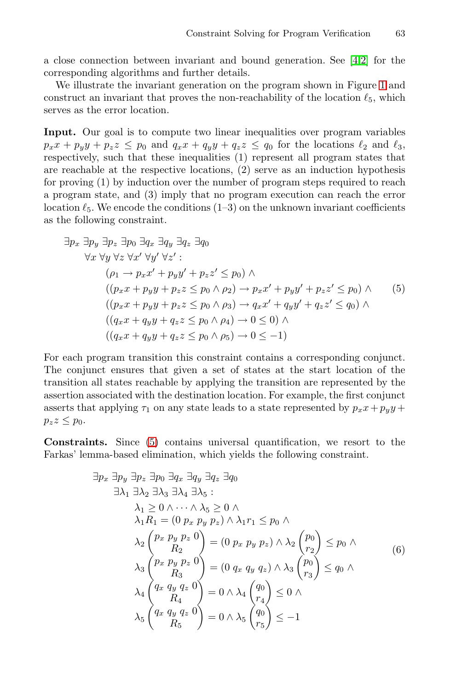a close connection between invariant and bound generation. See [4,2] for the corresponding algorithms and further details.

We illustrate the invariant generation on the program shown in Figure 1 and construct an invariant that proves the non-reachability of the location  $\ell_5$ , which serves as the error location.

<span id="page-6-1"></span>**Input.** Our goal is to compute two linear inequalities over program variables  $p_x x + p_y y + p_z z \leq p_0$  and  $q_x x + q_y y + q_z z \leq q_0$  for the locations  $\ell_2$  and  $\ell_3$ , respectively, such that these inequalities (1) represent all program states that are reachable at the respective locations, (2) serve as an induction hypothesis for proving (1) by induction over the number of program steps required to reach a program state, and (3) imply that no program execution can reach the error location  $\ell_5$ . We encode the conditions (1–3) on the unknown invariant coefficients as the following constraint.

$$
\exists p_x \exists p_y \exists p_z \exists p_0 \exists q_x \exists q_y \exists q_z \exists q_0
$$
  
\n
$$
\forall x \forall y \forall z \forall x' \forall y' \forall z':
$$
  
\n
$$
(\rho_1 \rightarrow p_x x' + p_y y' + p_z z' \le p_0) \land
$$
  
\n
$$
((p_x x + p_y y + p_z z \le p_0 \land \rho_2) \rightarrow p_x x' + p_y y' + p_z z' \le p_0) \land
$$
  
\n
$$
((p_x x + p_y y + p_z z \le p_0 \land \rho_3) \rightarrow q_x x' + q_y y' + q_z z' \le q_0) \land
$$
  
\n
$$
((q_x x + q_y y + q_z z \le p_0 \land \rho_4) \rightarrow 0 \le 0) \land
$$
  
\n
$$
((q_x x + q_y y + q_z z \le p_0 \land \rho_5) \rightarrow 0 \le -1)
$$

For each program transition this constraint contains a corresponding conjunct. The conjunct ensures that given a set of states at the start location of the transition all states reachable by applying the transition are represented by the assertion associated with the destination location. For example, the first conjunct asserts that applying  $\tau_1$  on any state leads to a state represented by  $p_x x + p_y y + p_y z$  $p_zz \leq p_0$ .

**Constraints.** Since (5) contains universal quantification, we resort to the Farkas' lemma-based elimination, which yields the following constraint.

<span id="page-6-0"></span>
$$
\exists p_x \exists p_y \exists p_z \exists p_0 \exists q_x \exists q_y \exists q_z \exists q_0
$$
  
\n
$$
\exists \lambda_1 \exists \lambda_2 \exists \lambda_3 \exists \lambda_4 \exists \lambda_5 :
$$
  
\n
$$
\lambda_1 \geq 0 \land \dots \land \lambda_5 \geq 0 \land
$$
  
\n
$$
\lambda_1 R_1 = (0 \ p_x \ p_y \ p_z) \land \lambda_1 r_1 \leq p_0 \land
$$
  
\n
$$
\lambda_2 {p_x \ p_y \ p_z \ 0 \choose R_2} = (0 \ p_x \ p_y \ p_z) \land \lambda_2 {p_0 \choose r_2} \leq p_0 \land
$$
  
\n
$$
\lambda_3 {p_x \ p_y \ p_z \ 0 \choose R_3} = (0 \ q_x \ q_y \ q_z) \land \lambda_3 {p_0 \choose r_3} \leq q_0 \land
$$
  
\n
$$
\lambda_4 {q_x \ q_y \ q_z \ 0 \choose R_4} = 0 \land \lambda_4 {q_0 \choose r_4} \leq 0 \land
$$
  
\n
$$
\lambda_5 {q_x \ q_y \ q_z \ 0 \choose R_5} = 0 \land \lambda_5 {q_0 \choose r_5} \leq -1
$$
  
\n(6)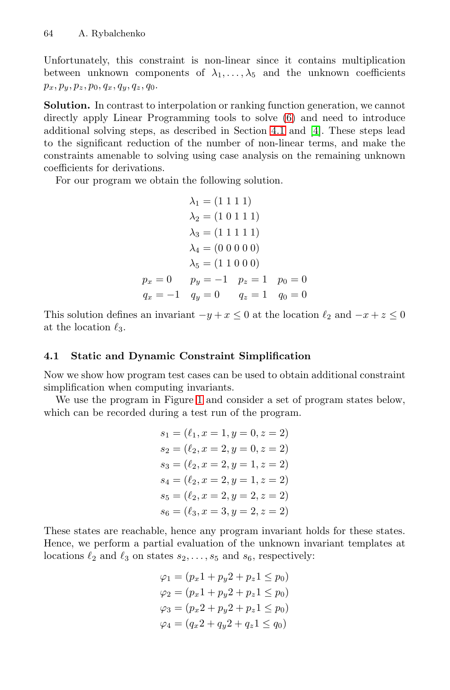Unfortunately, this constraint is non-linear since it contains multiplication between unknown components of  $\lambda_1, \ldots, \lambda_5$  and the unknown coefficients  $p_x, p_y, p_z, p_0, q_x, q_y, q_z, q_0.$ 

**Solution.** In contrast to interpolation or ranking function generation, we cannot directly apply Linear Programming tools to solve (6) and need to introduce additional solving steps, as described in Section 4.1 and [4]. These steps lead to the significant reduction of the number of non-linear terms, and make the constraints amenable to solving using case analysis on the remaining unknown coefficients for derivations.

For our program we obtain the following solution.

$$
\lambda_1 = (1 \ 1 \ 1 \ 1)
$$
  
\n
$$
\lambda_2 = (1 \ 0 \ 1 \ 1 \ 1)
$$
  
\n
$$
\lambda_3 = (1 \ 1 \ 1 \ 1 \ 1)
$$
  
\n
$$
\lambda_4 = (0 \ 0 \ 0 \ 0 \ 0)
$$
  
\n
$$
\lambda_5 = (1 \ 1 \ 0 \ 0 \ 0)
$$
  
\n
$$
p_x = 0 \t p_y = -1 \t p_z = 1 \t p_0 = 0
$$
  
\n
$$
q_x = -1 \t q_y = 0 \t q_z = 1 \t q_0 = 0
$$

This solution defines an invariant  $-y+x \leq 0$  at the location  $\ell_2$  and  $-x+z \leq 0$ at the location  $\ell_3$ .

### **4.1 Static and Dynamic Constraint Simplification**

Now we show how program test cases can be used to obtain additional constraint simplification when computing invariants.

We use the program in Figure 1 and consider a set of program states below, which can be recorded during a test run of the program.

$$
s_1 = (\ell_1, x = 1, y = 0, z = 2)
$$
  
\n
$$
s_2 = (\ell_2, x = 2, y = 0, z = 2)
$$
  
\n
$$
s_3 = (\ell_2, x = 2, y = 1, z = 2)
$$
  
\n
$$
s_4 = (\ell_2, x = 2, y = 1, z = 2)
$$
  
\n
$$
s_5 = (\ell_2, x = 2, y = 2, z = 2)
$$
  
\n
$$
s_6 = (\ell_3, x = 3, y = 2, z = 2)
$$

These states are reachable, hence any program invariant holds for these states. Hence, we perform a partial evaluation of the unknown invariant templates at locations  $\ell_2$  and  $\ell_3$  on states  $s_2, \ldots, s_5$  and  $s_6$ , respectively:

$$
\varphi_1 = (p_x 1 + p_y 2 + p_z 1 \le p_0)
$$
  

$$
\varphi_2 = (p_x 1 + p_y 2 + p_z 1 \le p_0)
$$
  

$$
\varphi_3 = (p_x 2 + p_y 2 + p_z 1 \le p_0)
$$
  

$$
\varphi_4 = (q_x 2 + q_y 2 + q_z 1 \le q_0)
$$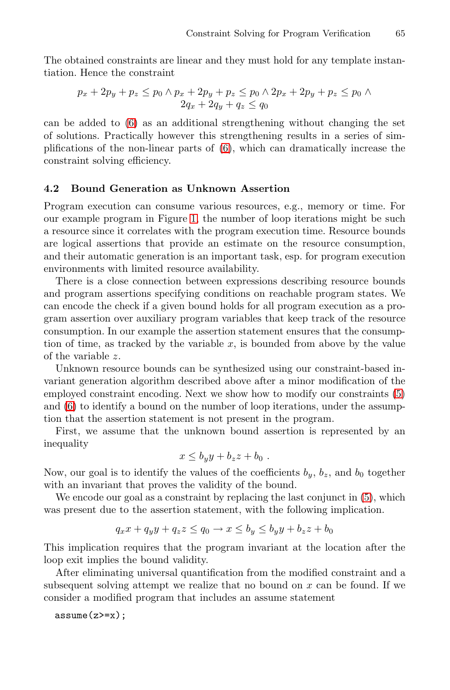The obtained constr[ai](#page-6-0)nts are linear and they must hold for any template instantiation. Hence the constraint

$$
p_x + 2p_y + p_z \le p_0 \land p_x + 2p_y + p_z \le p_0 \land 2p_x + 2p_y + p_z \le p_0 \land 2q_x + 2q_y + q_z \le q_0
$$

can be adde[d t](#page-1-1)o (6) as an additional strengthening without changing the set of solutions. Practically however this strengthening results in a series of simplifications of the non-linear parts of (6), which can dramatically increase the constraint solving efficiency.

#### **4.2 Bound Generation as Unknown Assertion**

Program execution can consume various resources, e.g., memory or time. For our example program in Figure 1, the number of loop iterations might be such a resource since it correlates with the program execution time. Resource bounds are logical assertions that provide an estimate on the resource consumption, and their automatic generation is an important task, esp. for program execution environments with limited resource availability.

There is a close connection between expressions describing resource bounds and program assertions specifying conditions on reachabl[e p](#page-6-1)rogram states. We can encode the check if a given bound holds for all program execution as a program assertion over auxiliary program variables that keep track of the resource consumption. In our example the assertion statement ensures that the consumption of time, as tracked by the variable  $x$ , is bounded from above by the value of the variable z.

Unknown resource bounds can be synthesized using our constraint-based invariant generation algorithm described above after a minor modification of the employed constraint encoding. Next we show how to modify our constraints (5) and (6) to identify a bound on the number of loop i[te](#page-6-1)rations, under the assumption that the assertion statement is not present in the program.

First, we assume that the unknown bound assertion is represented by an inequality

$$
x \leq b_y y + b_z z + b_0.
$$

Now, our goal is to identify the values of the coefficients  $b_y$ ,  $b_z$ , and  $b_0$  together with an invariant that proves the validity of the bound.

We encode our goal as a constraint by replacing the last conjunct in  $(5)$ , which was present due to the assertion statement, with the following implication.

$$
q_x x + q_y y + q_z z \le q_0 \to x \le b_y \le b_y y + b_z z + b_0
$$

This implication requires that the program invariant at the location after the loop exit implies the bound validity.

After eliminating universal quantification from the modified constraint and a subsequent solving attempt we realize that no bound on  $x$  can be found. If we consider a modified program that includes an assume statement

 $assume(z)=x);$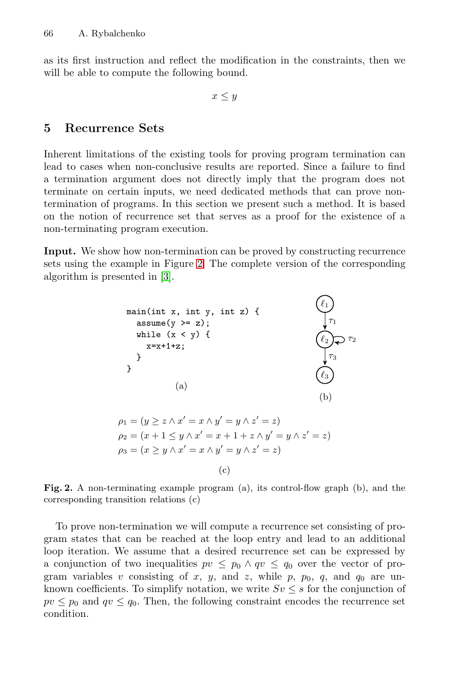<span id="page-9-0"></span>as its first instruction and reflect the modification in the constraints, then we will be able to compute the following bound.

 $x \leq y$ 

# **5 Recurrence Sets**

Inherent limitations of the existing tools for proving program termination can lead to cases [wh](#page-9-1)en non-conclusive results are reported. Since a failure to find a term[in](#page-14-2)ation argument does not directly imply that the program does not terminate on certain inputs, we need dedicated methods that can prove nontermination of programs. In this section we present such a method. It is based on the notion of recurrence set that serves as a proof for the existence of a non-terminating program execution.

**Input.** We show how non-termination can be proved by constructing recurrence sets using the example in Figure 2. The complete version of the corresponding algorithm is presented in [3].



<span id="page-9-1"></span>**Fig. 2.** A non-terminating example program (a), its control-flow graph (b), and the corresponding transition relations (c)

To prove non-termination we will compute a recurrence set consisting of program states that can be reached at the loop entry and lead to an additional loop iteration. We assume that a desired recurrence set can be expressed by a conjunction of two inequalities  $pv \leq p_0 \wedge qv \leq q_0$  over the vector of program variables v consisting of x, y, and z, while p,  $p_0$ , q, and  $q_0$  are unknown coefficients. To simplify notation, we write  $Sv \leq s$  for the conjunction of  $pv \leq p_0$  and  $qv \leq q_0$ . Then, the following constraint encodes the recurrence set condition.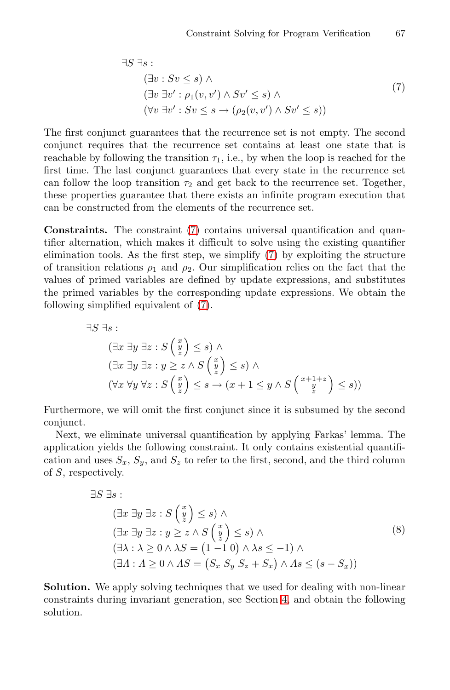<span id="page-10-0"></span>
$$
\exists S \; \exists s : ( \exists v : Sv \le s) \land ( \exists v \; \exists v' : \rho_1(v, v') \land Sv' \le s) \land ( \forall v \; \exists v' : Sv \le s \to (\rho_2(v, v') \land Sv' \le s))
$$
(7)

The first con[ju](#page-10-0)nct guarantees that the recurrence set is not empty. The second conjunct requires that the recurrence set contains at least one state that is reachable by following the tra[nsi](#page-10-0)tion  $\tau_1$ , i.e., by when the loop is reached for the first time. The last conjunct guarantees that every state in the recurrence set can follow the loop transition  $\tau_2$  and get back to the recurrence set. Together, these properties guarantee that there exists an infinite program execution that can be constru[cte](#page-10-0)d from the elements of the recurrence set.

**Constraints.** The constraint (7) contains universal quantification and quantifier alternation, which makes it difficult to solve using the existing quantifier elimination tools. As the first step, we simplify (7) by exploiting the structure of transition relations  $\rho_1$  and  $\rho_2$ . Our simplification relies on the fact that the values of primed variables are defined by update expressions, and substitutes the primed variables by the corresponding update expressions. We obtain the following simplified equivalent of (7).

$$
\exists S \; \exists s : \n(\exists x \; \exists y \; \exists z : S \begin{pmatrix} x \\ y \\ z \end{pmatrix} \le s) \; \wedge \n(\exists x \; \exists y \; \exists z : y \ge z \; \wedge \; S \begin{pmatrix} x \\ y \\ z \end{pmatrix} \le s) \; \wedge \n(\forall x \; \forall y \; \forall z : S \begin{pmatrix} x \\ y \\ z \end{pmatrix} \le s \; \rightarrow (x+1 \le y \; \wedge \; S \begin{pmatrix} x+1+z \\ y \\ z \end{pmatrix} \le s))
$$

Furthermore, we will omit the first conjunct since it is subsumed by the second conjunct.

Next, we eliminate universal quantification by applying Farkas' lemma. The application yields the following constraint. It only contains existential quantification and uses  $S_x$ ,  $S_y$ , and  $S_z$  to refer to the first, second, and the third column of S, respectively.

$$
\exists S \; \exists s : \n(\exists x \; \exists y \; \exists z : S \begin{pmatrix} x \\ y \\ z \end{pmatrix} \le s) \land \n(\exists x \; \exists y \; \exists z : y \ge z \land S \begin{pmatrix} x \\ y \\ z \end{pmatrix} \le s) \land \n(\exists \lambda : \lambda \ge 0 \land \lambda S = (1 - 1 0) \land \lambda s \le -1) \land \n(\exists \Lambda : \Lambda \ge 0 \land \Lambda S = (S_x S_y S_z + S_x) \land \Lambda s \le (s - S_x))
$$
\n(8)

**Solution.** We apply solving techniques that we used for dealing with non-linear constraints during invariant generation, see Section 4, and obtain the following solution.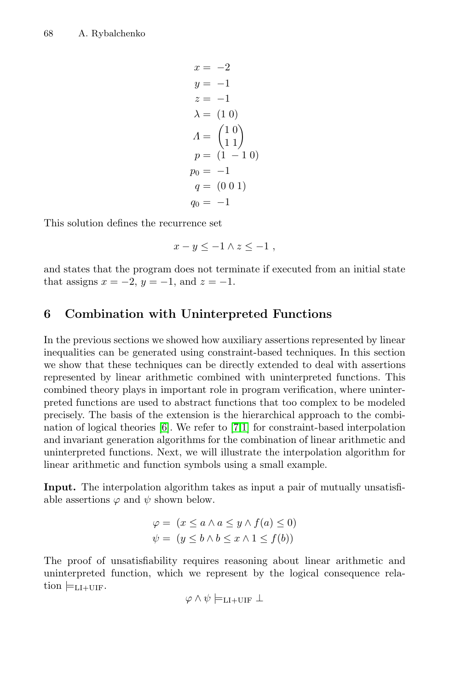$$
x = -2\n y = -1\n z = -1\n \lambda = (1 0)\n A = \begin{pmatrix} 1 & 0 \\ 1 & 1 \end{pmatrix}\n p = (1 - 1 0)\n p_0 = -1\n q = (0 0 1)\n q_0 = -1
$$

<span id="page-11-0"></span>This solution defines the recurrence set

$$
x - y \le -1 \wedge z \le -1 ,
$$

and states that the program does not terminate if executed from an initial state that assigns  $x = -2$ ,  $y = -1$ , and  $z = -1$ .

# **6 Combination with Uninterpreted Functions**

In the [pr](#page-14-3)evious section[s](#page-14-1) [we](#page-13-0) showed how auxiliary assertions represented by linear inequalities can be generated using constraint-based techniques. In this section we show that these techniques can be directly extended to deal with assertions represented by linear arithmetic combined with uninterpreted functions. This combined theory plays in important role in program verification, where uninterpreted functions are used to abstract functions that too complex to be modeled precisely. The basis of the extension is the hierarchical approach to the combination of logical theories [6]. We refer to [7,1] for constraint-based interpolation and invariant generation algorithms for the combination of linear arithmetic and uninterpreted functions. Next, we will illustrate the interpolation algorithm for linear arithmetic and function symbols using a small example.

**Input.** The interpolation algorithm takes as input a pair of mutually unsatisfiable assertions  $\varphi$  and  $\psi$  shown below.

$$
\varphi = (x \le a \land a \le y \land f(a) \le 0)
$$
  

$$
\psi = (y \le b \land b \le x \land 1 \le f(b))
$$

The proof of unsatisfiability requires reasoning about linear arithmetic and uninterpreted function, which we represent by the logical consequence relation  $\models$ <sub>LI+UIF</sub>.

$$
\varphi \wedge \psi \models_{\mathrm{LI+UIF}} \bot
$$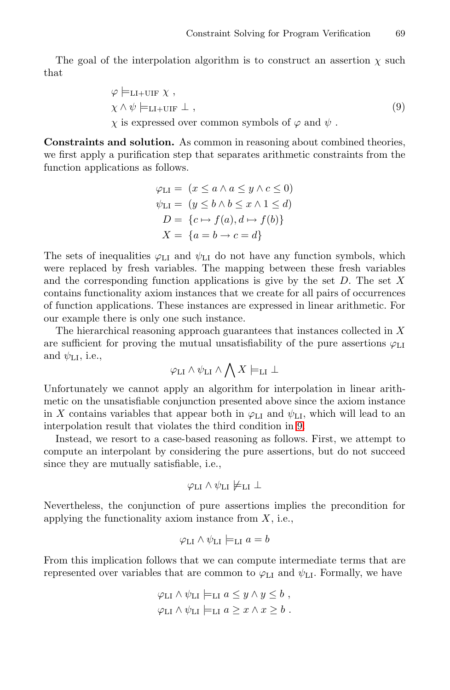<span id="page-12-0"></span>The goal of the interpolation algorithm is to construct an assertion  $\chi$  such that

$$
\varphi \models_{\text{LI+UIF}} \chi ,
$$
  
\n
$$
\chi \wedge \psi \models_{\text{LI+UIF}} \bot ,
$$
  
\n
$$
\chi \text{ is expressed over common symbols of } \varphi \text{ and } \psi .
$$
 (9)

**Constraints and solution.** As common in reasoning about combined theories, we first apply a purification step that separates arithmetic constraints from the function applications as follows.

$$
\varphi_{\text{LI}} = (x \le a \land a \le y \land c \le 0)
$$
  

$$
\psi_{\text{LI}} = (y \le b \land b \le x \land 1 \le d)
$$
  

$$
D = \{c \mapsto f(a), d \mapsto f(b)\}
$$
  

$$
X = \{a = b \rightarrow c = d\}
$$

The sets of inequalities  $\varphi_{\text{LI}}$  and  $\psi_{\text{LI}}$  do not have any function symbols, which were replaced by fresh variables. The mapping between these fresh variables and the corresponding function applications is give by the set  $D$ . The set  $X$ contains functionality axiom instances that we create for all pairs of occurrences of function applications. These instances are expressed in linear arithmetic. For our example there is only one such instance.

The hierarchical reasoning appro[ach](#page-12-0) guarantees that instances collected in  $X$ are sufficient for proving the mutual unsatisfiability of the pure assertions  $\varphi$ <sub>LI</sub> and  $\psi_{\text{LI}}$ , i.e.,

$$
\varphi_{\text{LI}} \wedge \psi_{\text{LI}} \wedge \bigwedge X \models_{\text{LI}} \bot
$$

Unfortunately we cannot apply an algorithm for interpolation in linear arithmetic on the unsatisfiable conjunction presented above since the axiom instance in X contains variables that appear both in  $\varphi$ <sub>LI</sub> and  $\psi$ <sub>LI</sub>, which will lead to an interpolation result that violates the third condition in 9.

Instead, we resort to a case-based reasoning as follows. First, we attempt to compute an interpolant by considering the pure assertions, but do not succeed since they are mutually satisfiable, i.e.,

$$
\varphi_{\text{LI}} \land \psi_{\text{LI}} \not\models_{\text{LI}} \bot
$$

Nevertheless, the conjunction of pure assertions implies the precondition for applying the functionality axiom instance from  $X$ , i.e.,

$$
\varphi_{\text{LI}} \wedge \psi_{\text{LI}} \models_{\text{LI}} a = b
$$

From this implication follows that we can compute intermediate terms that are represented over variables that are common to  $\varphi$ <sub>LI</sub> and  $\psi$ <sub>LI</sub>. Formally, we have

$$
\varphi_{\text{LI}} \wedge \psi_{\text{LI}} \models_{\text{LI}} a \leq y \wedge y \leq b ,
$$
  

$$
\varphi_{\text{LI}} \wedge \psi_{\text{LI}} \models_{\text{LI}} a \geq x \wedge x \geq b .
$$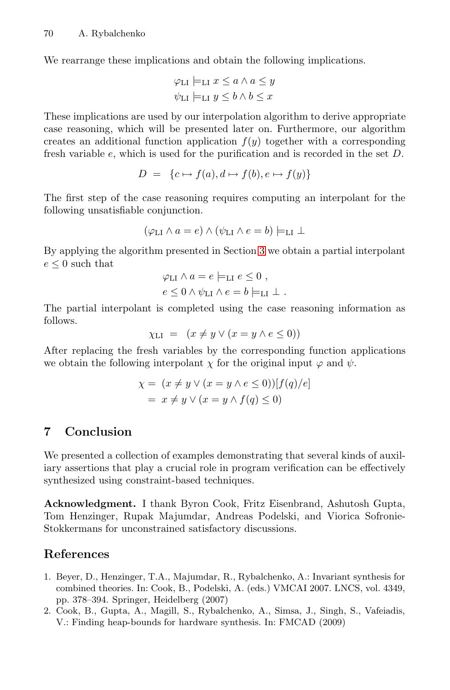We rearrange these implications and obtain the following implications.

$$
\varphi_{\text{LI}} \models_{\text{LI}} x \le a \land a \le y
$$
  

$$
\psi_{\text{LI}} \models_{\text{LI}} y \le b \land b \le x
$$

These implications are used by our interpolation algorithm to derive appropriate case reasoning, which will be presented later on. Furthermore, our algorithm creates an additional function application  $f(y)$  together with a corresponding fresh variable e, which is us[ed](#page-4-0) for the purification and is recorded in the set D.

$$
D = \{c \mapsto f(a), d \mapsto f(b), e \mapsto f(y)\}
$$

The first step of the case reasoning requires computing an interpolant for the following unsatisfiable conjunction.

$$
(\varphi_{\text{LI}} \land a = e) \land (\psi_{\text{LI}} \land e = b) \models_{\text{LI}} \bot
$$

By applying the algorithm presented in Section 3 we obtain a partial interpolant  $e\leq 0$  such that

$$
\varphi_{\text{LI}} \wedge a = e \models_{\text{LI}} e \leq 0 ,
$$
  

$$
e \leq 0 \wedge \psi_{\text{LI}} \wedge e = b \models_{\text{LI}} \bot .
$$

The partial interpolant is completed using the case reasoning information as follows.

$$
\chi_{\text{LI}} = (x \neq y \lor (x = y \land e \leq 0))
$$

After replacing the fresh variables by the corresponding function applications we obtain the following interpolant  $\chi$  for the original input  $\varphi$  and  $\psi$ .

$$
\chi = (x \neq y \lor (x = y \land e \le 0))[f(q)/e]
$$
  
=  $x \neq y \lor (x = y \land f(q) \le 0)$ 

# **7 Conclusion**

<span id="page-13-0"></span>We presented a collection of examples demonstrating that several kinds of auxiliary assertions that play a crucial role in program verification can be effectively synthesized using constraint-based techniques.

**Acknowledgment.** I thank Byron Cook, Fritz Eisenbrand, Ashutosh Gupta, Tom Henzinger, Rupak Majumdar, Andreas Podelski, and Viorica Sofronie-Stokkermans for unconstrained satisfactory discussions.

#### **References**

- 1. Beyer, D., Henzinger, T.A., Majumdar, R., Rybalchenko, A.: Invariant synthesis for combined theories. In: Cook, B., Podelski, A. (eds.) VMCAI 2007. LNCS, vol. 4349, pp. 378–394. Springer, Heidelberg (2007)
- 2. Cook, B., Gupta, A., Magill, S., Rybalchenko, A., Simsa, J., Singh, S., Vafeiadis, V.: Finding heap-bounds for hardware synthesis. In: FMCAD (2009)